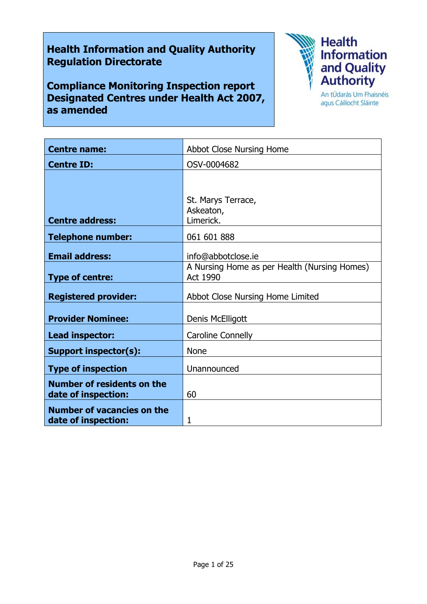# **Health Information and Quality Authority Regulation Directorate**

**Compliance Monitoring Inspection report Designated Centres under Health Act 2007, as amended**



agus Cáilíocht Sláinte

| <b>Centre name:</b>                                      | Abbot Close Nursing Home                                        |
|----------------------------------------------------------|-----------------------------------------------------------------|
| <b>Centre ID:</b>                                        | OSV-0004682                                                     |
|                                                          |                                                                 |
|                                                          | St. Marys Terrace,                                              |
|                                                          | Askeaton,                                                       |
| <b>Centre address:</b>                                   | Limerick.                                                       |
| <b>Telephone number:</b>                                 | 061 601 888                                                     |
| <b>Email address:</b>                                    | info@abbotclose.ie                                              |
| <b>Type of centre:</b>                                   | A Nursing Home as per Health (Nursing Homes)<br><b>Act 1990</b> |
| <b>Registered provider:</b>                              | Abbot Close Nursing Home Limited                                |
| <b>Provider Nominee:</b>                                 | Denis McElligott                                                |
| Lead inspector:                                          | Caroline Connelly                                               |
| <b>Support inspector(s):</b>                             | <b>None</b>                                                     |
| <b>Type of inspection</b>                                | Unannounced                                                     |
| <b>Number of residents on the</b><br>date of inspection: | 60                                                              |
| <b>Number of vacancies on the</b><br>date of inspection: | 1                                                               |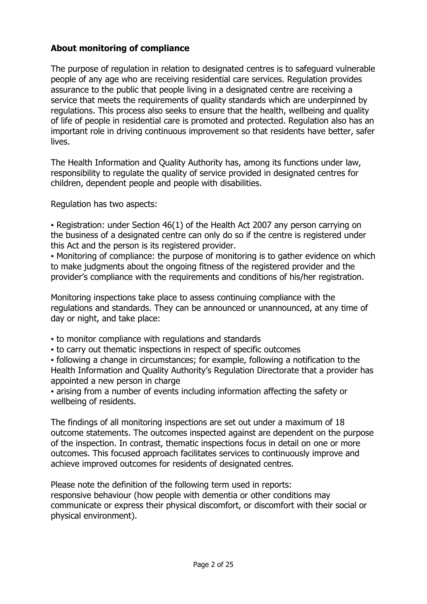# **About monitoring of compliance**

The purpose of regulation in relation to designated centres is to safeguard vulnerable people of any age who are receiving residential care services. Regulation provides assurance to the public that people living in a designated centre are receiving a service that meets the requirements of quality standards which are underpinned by regulations. This process also seeks to ensure that the health, wellbeing and quality of life of people in residential care is promoted and protected. Regulation also has an important role in driving continuous improvement so that residents have better, safer lives.

The Health Information and Quality Authority has, among its functions under law, responsibility to regulate the quality of service provided in designated centres for children, dependent people and people with disabilities.

Regulation has two aspects:

▪ Registration: under Section 46(1) of the Health Act 2007 any person carrying on the business of a designated centre can only do so if the centre is registered under this Act and the person is its registered provider.

▪ Monitoring of compliance: the purpose of monitoring is to gather evidence on which to make judgments about the ongoing fitness of the registered provider and the provider's compliance with the requirements and conditions of his/her registration.

Monitoring inspections take place to assess continuing compliance with the regulations and standards. They can be announced or unannounced, at any time of day or night, and take place:

- to monitor compliance with regulations and standards
- to carry out thematic inspections in respect of specific outcomes

▪ following a change in circumstances; for example, following a notification to the Health Information and Quality Authority's Regulation Directorate that a provider has appointed a new person in charge

▪ arising from a number of events including information affecting the safety or wellbeing of residents.

The findings of all monitoring inspections are set out under a maximum of 18 outcome statements. The outcomes inspected against are dependent on the purpose of the inspection. In contrast, thematic inspections focus in detail on one or more outcomes. This focused approach facilitates services to continuously improve and achieve improved outcomes for residents of designated centres.

Please note the definition of the following term used in reports: responsive behaviour (how people with dementia or other conditions may communicate or express their physical discomfort, or discomfort with their social or physical environment).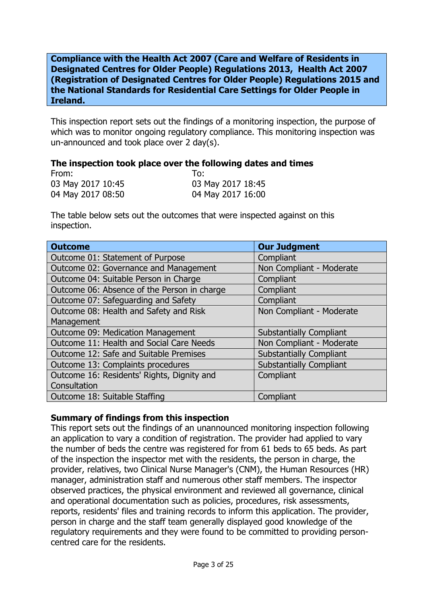**Compliance with the Health Act 2007 (Care and Welfare of Residents in Designated Centres for Older People) Regulations 2013, Health Act 2007 (Registration of Designated Centres for Older People) Regulations 2015 and the National Standards for Residential Care Settings for Older People in Ireland.**

This inspection report sets out the findings of a monitoring inspection, the purpose of which was to monitor ongoing regulatory compliance. This monitoring inspection was un-announced and took place over 2 day(s).

### **The inspection took place over the following dates and times**

| From:             | To:               |
|-------------------|-------------------|
| 03 May 2017 10:45 | 03 May 2017 18:45 |
| 04 May 2017 08:50 | 04 May 2017 16:00 |

The table below sets out the outcomes that were inspected against on this inspection.

| <b>Outcome</b>                              | <b>Our Judgment</b>            |
|---------------------------------------------|--------------------------------|
| Outcome 01: Statement of Purpose            | Compliant                      |
| Outcome 02: Governance and Management       | Non Compliant - Moderate       |
| Outcome 04: Suitable Person in Charge       | Compliant                      |
| Outcome 06: Absence of the Person in charge | Compliant                      |
| Outcome 07: Safeguarding and Safety         | Compliant                      |
| Outcome 08: Health and Safety and Risk      | Non Compliant - Moderate       |
| Management                                  |                                |
| Outcome 09: Medication Management           | <b>Substantially Compliant</b> |
| Outcome 11: Health and Social Care Needs    | Non Compliant - Moderate       |
| Outcome 12: Safe and Suitable Premises      | <b>Substantially Compliant</b> |
| Outcome 13: Complaints procedures           | <b>Substantially Compliant</b> |
| Outcome 16: Residents' Rights, Dignity and  | Compliant                      |
| Consultation                                |                                |
| Outcome 18: Suitable Staffing               | Compliant                      |

# **Summary of findings from this inspection**

This report sets out the findings of an unannounced monitoring inspection following an application to vary a condition of registration. The provider had applied to vary the number of beds the centre was registered for from 61 beds to 65 beds. As part of the inspection the inspector met with the residents, the person in charge, the provider, relatives, two Clinical Nurse Manager's (CNM), the Human Resources (HR) manager, administration staff and numerous other staff members. The inspector observed practices, the physical environment and reviewed all governance, clinical and operational documentation such as policies, procedures, risk assessments, reports, residents' files and training records to inform this application. The provider, person in charge and the staff team generally displayed good knowledge of the regulatory requirements and they were found to be committed to providing personcentred care for the residents.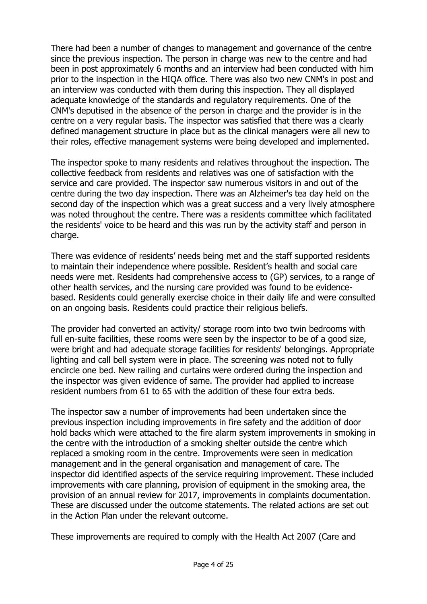There had been a number of changes to management and governance of the centre since the previous inspection. The person in charge was new to the centre and had been in post approximately 6 months and an interview had been conducted with him prior to the inspection in the HIQA office. There was also two new CNM's in post and an interview was conducted with them during this inspection. They all displayed adequate knowledge of the standards and regulatory requirements. One of the CNM's deputised in the absence of the person in charge and the provider is in the centre on a very regular basis. The inspector was satisfied that there was a clearly defined management structure in place but as the clinical managers were all new to their roles, effective management systems were being developed and implemented.

The inspector spoke to many residents and relatives throughout the inspection. The collective feedback from residents and relatives was one of satisfaction with the service and care provided. The inspector saw numerous visitors in and out of the centre during the two day inspection. There was an Alzheimer's tea day held on the second day of the inspection which was a great success and a very lively atmosphere was noted throughout the centre. There was a residents committee which facilitated the residents' voice to be heard and this was run by the activity staff and person in charge.

There was evidence of residents' needs being met and the staff supported residents to maintain their independence where possible. Resident's health and social care needs were met. Residents had comprehensive access to (GP) services, to a range of other health services, and the nursing care provided was found to be evidencebased. Residents could generally exercise choice in their daily life and were consulted on an ongoing basis. Residents could practice their religious beliefs.

The provider had converted an activity/ storage room into two twin bedrooms with full en-suite facilities, these rooms were seen by the inspector to be of a good size, were bright and had adequate storage facilities for residents' belongings. Appropriate lighting and call bell system were in place. The screening was noted not to fully encircle one bed. New railing and curtains were ordered during the inspection and the inspector was given evidence of same. The provider had applied to increase resident numbers from 61 to 65 with the addition of these four extra beds.

The inspector saw a number of improvements had been undertaken since the previous inspection including improvements in fire safety and the addition of door hold backs which were attached to the fire alarm system improvements in smoking in the centre with the introduction of a smoking shelter outside the centre which replaced a smoking room in the centre. Improvements were seen in medication management and in the general organisation and management of care. The inspector did identified aspects of the service requiring improvement. These included improvements with care planning, provision of equipment in the smoking area, the provision of an annual review for 2017, improvements in complaints documentation. These are discussed under the outcome statements. The related actions are set out in the Action Plan under the relevant outcome.

These improvements are required to comply with the Health Act 2007 (Care and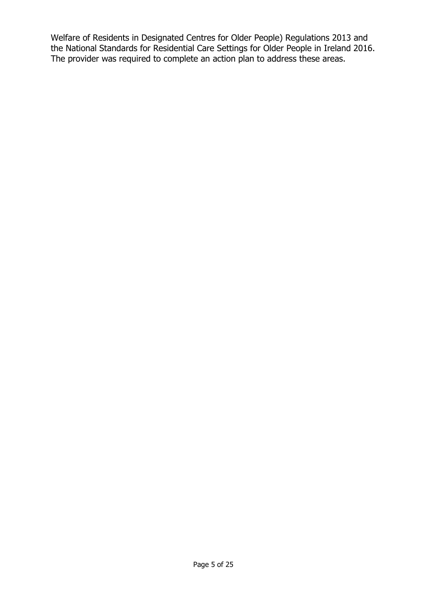Welfare of Residents in Designated Centres for Older People) Regulations 2013 and the National Standards for Residential Care Settings for Older People in Ireland 2016. The provider was required to complete an action plan to address these areas.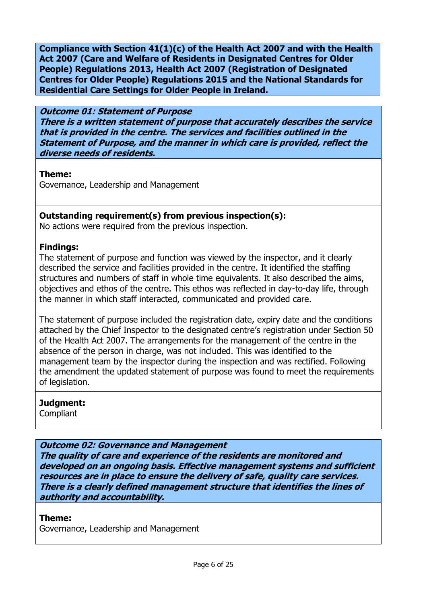**Compliance with Section 41(1)(c) of the Health Act 2007 and with the Health Act 2007 (Care and Welfare of Residents in Designated Centres for Older People) Regulations 2013, Health Act 2007 (Registration of Designated Centres for Older People) Regulations 2015 and the National Standards for Residential Care Settings for Older People in Ireland.**

**Outcome 01: Statement of Purpose There is a written statement of purpose that accurately describes the service that is provided in the centre. The services and facilities outlined in the Statement of Purpose, and the manner in which care is provided, reflect the diverse needs of residents.**

# **Theme:**

Governance, Leadership and Management

# **Outstanding requirement(s) from previous inspection(s):**

No actions were required from the previous inspection.

# **Findings:**

The statement of purpose and function was viewed by the inspector, and it clearly described the service and facilities provided in the centre. It identified the staffing structures and numbers of staff in whole time equivalents. It also described the aims, objectives and ethos of the centre. This ethos was reflected in day-to-day life, through the manner in which staff interacted, communicated and provided care.

The statement of purpose included the registration date, expiry date and the conditions attached by the Chief Inspector to the designated centre's registration under Section 50 of the Health Act 2007. The arrangements for the management of the centre in the absence of the person in charge, was not included. This was identified to the management team by the inspector during the inspection and was rectified. Following the amendment the updated statement of purpose was found to meet the requirements of legislation.

# **Judgment:**

**Compliant** 

# **Outcome 02: Governance and Management**

**The quality of care and experience of the residents are monitored and developed on an ongoing basis. Effective management systems and sufficient resources are in place to ensure the delivery of safe, quality care services. There is a clearly defined management structure that identifies the lines of authority and accountability.**

# **Theme:**

Governance, Leadership and Management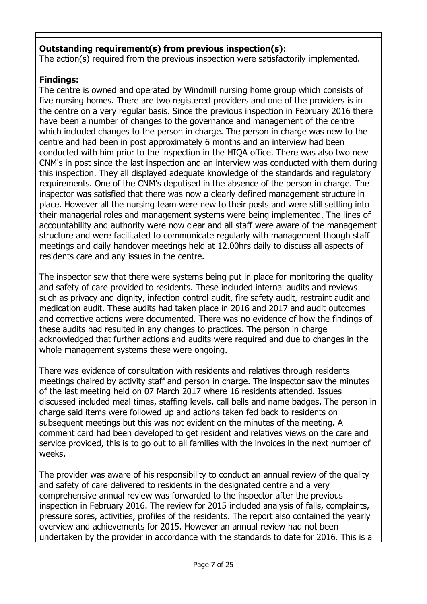# **Outstanding requirement(s) from previous inspection(s):**

The action(s) required from the previous inspection were satisfactorily implemented.

# **Findings:**

The centre is owned and operated by Windmill nursing home group which consists of five nursing homes. There are two registered providers and one of the providers is in the centre on a very regular basis. Since the previous inspection in February 2016 there have been a number of changes to the governance and management of the centre which included changes to the person in charge. The person in charge was new to the centre and had been in post approximately 6 months and an interview had been conducted with him prior to the inspection in the HIQA office. There was also two new CNM's in post since the last inspection and an interview was conducted with them during this inspection. They all displayed adequate knowledge of the standards and regulatory requirements. One of the CNM's deputised in the absence of the person in charge. The inspector was satisfied that there was now a clearly defined management structure in place. However all the nursing team were new to their posts and were still settling into their managerial roles and management systems were being implemented. The lines of accountability and authority were now clear and all staff were aware of the management structure and were facilitated to communicate regularly with management though staff meetings and daily handover meetings held at 12.00hrs daily to discuss all aspects of residents care and any issues in the centre.

The inspector saw that there were systems being put in place for monitoring the quality and safety of care provided to residents. These included internal audits and reviews such as privacy and dignity, infection control audit, fire safety audit, restraint audit and medication audit. These audits had taken place in 2016 and 2017 and audit outcomes and corrective actions were documented. There was no evidence of how the findings of these audits had resulted in any changes to practices. The person in charge acknowledged that further actions and audits were required and due to changes in the whole management systems these were ongoing.

There was evidence of consultation with residents and relatives through residents meetings chaired by activity staff and person in charge. The inspector saw the minutes of the last meeting held on 07 March 2017 where 16 residents attended. Issues discussed included meal times, staffing levels, call bells and name badges. The person in charge said items were followed up and actions taken fed back to residents on subsequent meetings but this was not evident on the minutes of the meeting. A comment card had been developed to get resident and relatives views on the care and service provided, this is to go out to all families with the invoices in the next number of weeks.

The provider was aware of his responsibility to conduct an annual review of the quality and safety of care delivered to residents in the designated centre and a very comprehensive annual review was forwarded to the inspector after the previous inspection in February 2016. The review for 2015 included analysis of falls, complaints, pressure sores, activities, profiles of the residents. The report also contained the yearly overview and achievements for 2015. However an annual review had not been undertaken by the provider in accordance with the standards to date for 2016. This is a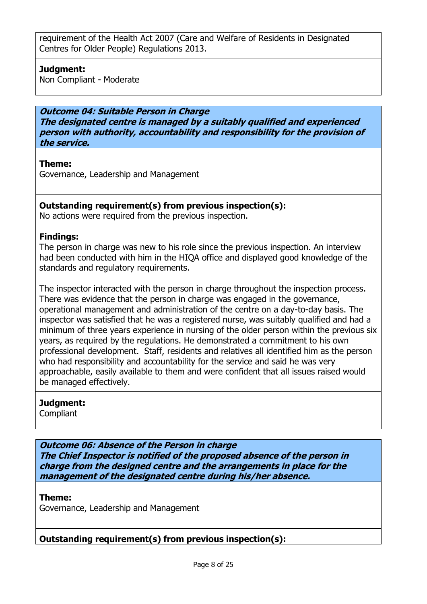requirement of the Health Act 2007 (Care and Welfare of Residents in Designated Centres for Older People) Regulations 2013.

# **Judgment:**

Non Compliant - Moderate

**Outcome 04: Suitable Person in Charge The designated centre is managed by a suitably qualified and experienced person with authority, accountability and responsibility for the provision of the service.**

### **Theme:**

Governance, Leadership and Management

# **Outstanding requirement(s) from previous inspection(s):**

No actions were required from the previous inspection.

# **Findings:**

The person in charge was new to his role since the previous inspection. An interview had been conducted with him in the HIQA office and displayed good knowledge of the standards and regulatory requirements.

The inspector interacted with the person in charge throughout the inspection process. There was evidence that the person in charge was engaged in the governance, operational management and administration of the centre on a day-to-day basis. The inspector was satisfied that he was a registered nurse, was suitably qualified and had a minimum of three years experience in nursing of the older person within the previous six years, as required by the regulations. He demonstrated a commitment to his own professional development. Staff, residents and relatives all identified him as the person who had responsibility and accountability for the service and said he was very approachable, easily available to them and were confident that all issues raised would be managed effectively.

# **Judgment:**

**Compliant** 

**Outcome 06: Absence of the Person in charge The Chief Inspector is notified of the proposed absence of the person in charge from the designed centre and the arrangements in place for the management of the designated centre during his/her absence.**

**Theme:** 

Governance, Leadership and Management

# **Outstanding requirement(s) from previous inspection(s):**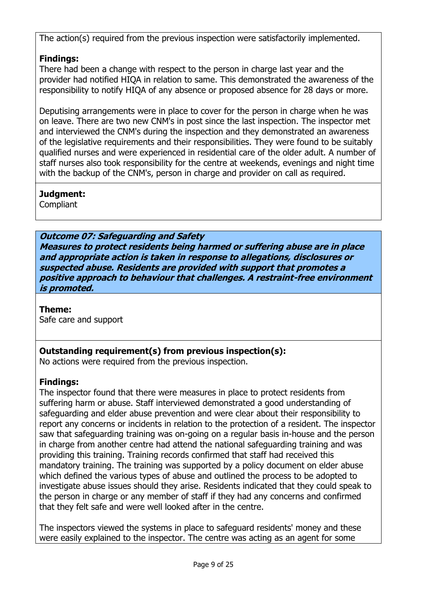The action(s) required from the previous inspection were satisfactorily implemented.

# **Findings:**

There had been a change with respect to the person in charge last year and the provider had notified HIQA in relation to same. This demonstrated the awareness of the responsibility to notify HIQA of any absence or proposed absence for 28 days or more.

Deputising arrangements were in place to cover for the person in charge when he was on leave. There are two new CNM's in post since the last inspection. The inspector met and interviewed the CNM's during the inspection and they demonstrated an awareness of the legislative requirements and their responsibilities. They were found to be suitably qualified nurses and were experienced in residential care of the older adult. A number of staff nurses also took responsibility for the centre at weekends, evenings and night time with the backup of the CNM's, person in charge and provider on call as required.

# **Judgment:**

**Compliant** 

# **Outcome 07: Safeguarding and Safety**

**Measures to protect residents being harmed or suffering abuse are in place and appropriate action is taken in response to allegations, disclosures or suspected abuse. Residents are provided with support that promotes a positive approach to behaviour that challenges. A restraint-free environment is promoted.**

# **Theme:**

Safe care and support

# **Outstanding requirement(s) from previous inspection(s):**

No actions were required from the previous inspection.

# **Findings:**

The inspector found that there were measures in place to protect residents from suffering harm or abuse. Staff interviewed demonstrated a good understanding of safeguarding and elder abuse prevention and were clear about their responsibility to report any concerns or incidents in relation to the protection of a resident. The inspector saw that safeguarding training was on-going on a regular basis in-house and the person in charge from another centre had attend the national safeguarding training and was providing this training. Training records confirmed that staff had received this mandatory training. The training was supported by a policy document on elder abuse which defined the various types of abuse and outlined the process to be adopted to investigate abuse issues should they arise. Residents indicated that they could speak to the person in charge or any member of staff if they had any concerns and confirmed that they felt safe and were well looked after in the centre.

The inspectors viewed the systems in place to safeguard residents' money and these were easily explained to the inspector. The centre was acting as an agent for some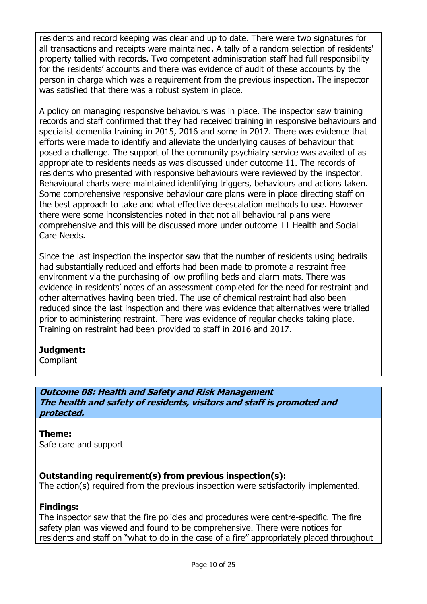residents and record keeping was clear and up to date. There were two signatures for all transactions and receipts were maintained. A tally of a random selection of residents' property tallied with records. Two competent administration staff had full responsibility for the residents' accounts and there was evidence of audit of these accounts by the person in charge which was a requirement from the previous inspection. The inspector was satisfied that there was a robust system in place.

A policy on managing responsive behaviours was in place. The inspector saw training records and staff confirmed that they had received training in responsive behaviours and specialist dementia training in 2015, 2016 and some in 2017. There was evidence that efforts were made to identify and alleviate the underlying causes of behaviour that posed a challenge. The support of the community psychiatry service was availed of as appropriate to residents needs as was discussed under outcome 11. The records of residents who presented with responsive behaviours were reviewed by the inspector. Behavioural charts were maintained identifying triggers, behaviours and actions taken. Some comprehensive responsive behaviour care plans were in place directing staff on the best approach to take and what effective de-escalation methods to use. However there were some inconsistencies noted in that not all behavioural plans were comprehensive and this will be discussed more under outcome 11 Health and Social Care Needs.

Since the last inspection the inspector saw that the number of residents using bedrails had substantially reduced and efforts had been made to promote a restraint free environment via the purchasing of low profiling beds and alarm mats. There was evidence in residents' notes of an assessment completed for the need for restraint and other alternatives having been tried. The use of chemical restraint had also been reduced since the last inspection and there was evidence that alternatives were trialled prior to administering restraint. There was evidence of regular checks taking place. Training on restraint had been provided to staff in 2016 and 2017.

# **Judgment:**

**Compliant** 

**Outcome 08: Health and Safety and Risk Management The health and safety of residents, visitors and staff is promoted and protected.**

# **Theme:**

Safe care and support

# **Outstanding requirement(s) from previous inspection(s):**

The action(s) required from the previous inspection were satisfactorily implemented.

# **Findings:**

The inspector saw that the fire policies and procedures were centre-specific. The fire safety plan was viewed and found to be comprehensive. There were notices for residents and staff on "what to do in the case of a fire" appropriately placed throughout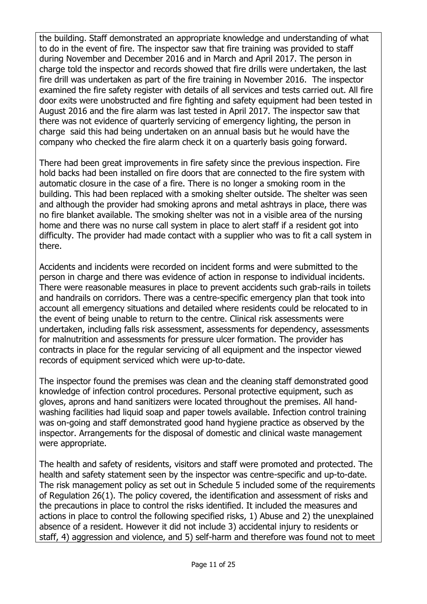the building. Staff demonstrated an appropriate knowledge and understanding of what to do in the event of fire. The inspector saw that fire training was provided to staff during November and December 2016 and in March and April 2017. The person in charge told the inspector and records showed that fire drills were undertaken, the last fire drill was undertaken as part of the fire training in November 2016. The inspector examined the fire safety register with details of all services and tests carried out. All fire door exits were unobstructed and fire fighting and safety equipment had been tested in August 2016 and the fire alarm was last tested in April 2017. The inspector saw that there was not evidence of quarterly servicing of emergency lighting, the person in charge said this had being undertaken on an annual basis but he would have the company who checked the fire alarm check it on a quarterly basis going forward.

There had been great improvements in fire safety since the previous inspection. Fire hold backs had been installed on fire doors that are connected to the fire system with automatic closure in the case of a fire. There is no longer a smoking room in the building. This had been replaced with a smoking shelter outside. The shelter was seen and although the provider had smoking aprons and metal ashtrays in place, there was no fire blanket available. The smoking shelter was not in a visible area of the nursing home and there was no nurse call system in place to alert staff if a resident got into difficulty. The provider had made contact with a supplier who was to fit a call system in there.

Accidents and incidents were recorded on incident forms and were submitted to the person in charge and there was evidence of action in response to individual incidents. There were reasonable measures in place to prevent accidents such grab-rails in toilets and handrails on corridors. There was a centre-specific emergency plan that took into account all emergency situations and detailed where residents could be relocated to in the event of being unable to return to the centre. Clinical risk assessments were undertaken, including falls risk assessment, assessments for dependency, assessments for malnutrition and assessments for pressure ulcer formation. The provider has contracts in place for the regular servicing of all equipment and the inspector viewed records of equipment serviced which were up-to-date.

The inspector found the premises was clean and the cleaning staff demonstrated good knowledge of infection control procedures. Personal protective equipment, such as gloves, aprons and hand sanitizers were located throughout the premises. All handwashing facilities had liquid soap and paper towels available. Infection control training was on-going and staff demonstrated good hand hygiene practice as observed by the inspector. Arrangements for the disposal of domestic and clinical waste management were appropriate.

The health and safety of residents, visitors and staff were promoted and protected. The health and safety statement seen by the inspector was centre-specific and up-to-date. The risk management policy as set out in Schedule 5 included some of the requirements of Regulation 26(1). The policy covered, the identification and assessment of risks and the precautions in place to control the risks identified. It included the measures and actions in place to control the following specified risks, 1) Abuse and 2) the unexplained absence of a resident. However it did not include 3) accidental injury to residents or staff, 4) aggression and violence, and 5) self-harm and therefore was found not to meet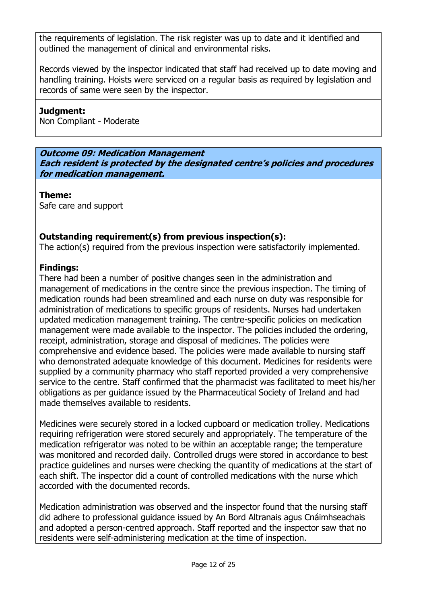the requirements of legislation. The risk register was up to date and it identified and outlined the management of clinical and environmental risks.

Records viewed by the inspector indicated that staff had received up to date moving and handling training. Hoists were serviced on a regular basis as required by legislation and records of same were seen by the inspector.

# **Judgment:**

Non Compliant - Moderate

**Outcome 09: Medication Management Each resident is protected by the designated centre's policies and procedures for medication management.**

**Theme:** 

Safe care and support

# **Outstanding requirement(s) from previous inspection(s):**

The action(s) required from the previous inspection were satisfactorily implemented.

# **Findings:**

There had been a number of positive changes seen in the administration and management of medications in the centre since the previous inspection. The timing of medication rounds had been streamlined and each nurse on duty was responsible for administration of medications to specific groups of residents. Nurses had undertaken updated medication management training. The centre-specific policies on medication management were made available to the inspector. The policies included the ordering, receipt, administration, storage and disposal of medicines. The policies were comprehensive and evidence based. The policies were made available to nursing staff who demonstrated adequate knowledge of this document. Medicines for residents were supplied by a community pharmacy who staff reported provided a very comprehensive service to the centre. Staff confirmed that the pharmacist was facilitated to meet his/her obligations as per guidance issued by the Pharmaceutical Society of Ireland and had made themselves available to residents.

Medicines were securely stored in a locked cupboard or medication trolley. Medications requiring refrigeration were stored securely and appropriately. The temperature of the medication refrigerator was noted to be within an acceptable range; the temperature was monitored and recorded daily. Controlled drugs were stored in accordance to best practice guidelines and nurses were checking the quantity of medications at the start of each shift. The inspector did a count of controlled medications with the nurse which accorded with the documented records.

Medication administration was observed and the inspector found that the nursing staff did adhere to professional guidance issued by An Bord Altranais agus Cnáimhseachais and adopted a person-centred approach. Staff reported and the inspector saw that no residents were self-administering medication at the time of inspection.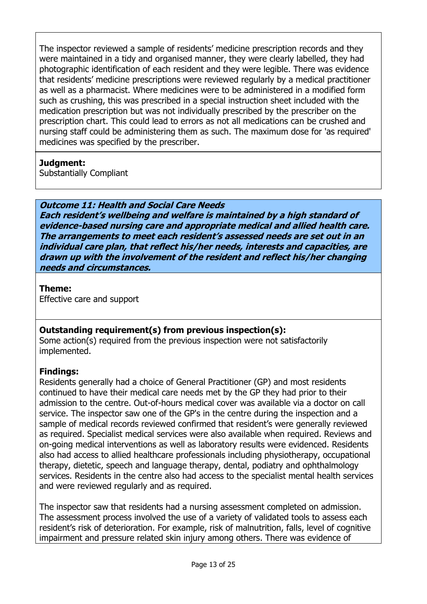The inspector reviewed a sample of residents' medicine prescription records and they were maintained in a tidy and organised manner, they were clearly labelled, they had photographic identification of each resident and they were legible. There was evidence that residents' medicine prescriptions were reviewed regularly by a medical practitioner as well as a pharmacist. Where medicines were to be administered in a modified form such as crushing, this was prescribed in a special instruction sheet included with the medication prescription but was not individually prescribed by the prescriber on the prescription chart. This could lead to errors as not all medications can be crushed and nursing staff could be administering them as such. The maximum dose for 'as required' medicines was specified by the prescriber.

# **Judgment:**

Substantially Compliant

**Outcome 11: Health and Social Care Needs Each resident's wellbeing and welfare is maintained by a high standard of evidence-based nursing care and appropriate medical and allied health care. The arrangements to meet each resident's assessed needs are set out in an individual care plan, that reflect his/her needs, interests and capacities, are drawn up with the involvement of the resident and reflect his/her changing needs and circumstances.**

# **Theme:**

Effective care and support

# **Outstanding requirement(s) from previous inspection(s):**

Some action(s) required from the previous inspection were not satisfactorily implemented.

# **Findings:**

Residents generally had a choice of General Practitioner (GP) and most residents continued to have their medical care needs met by the GP they had prior to their admission to the centre. Out-of-hours medical cover was available via a doctor on call service. The inspector saw one of the GP's in the centre during the inspection and a sample of medical records reviewed confirmed that resident's were generally reviewed as required. Specialist medical services were also available when required. Reviews and on-going medical interventions as well as laboratory results were evidenced. Residents also had access to allied healthcare professionals including physiotherapy, occupational therapy, dietetic, speech and language therapy, dental, podiatry and ophthalmology services. Residents in the centre also had access to the specialist mental health services and were reviewed regularly and as required.

The inspector saw that residents had a nursing assessment completed on admission. The assessment process involved the use of a variety of validated tools to assess each resident's risk of deterioration. For example, risk of malnutrition, falls, level of cognitive impairment and pressure related skin injury among others. There was evidence of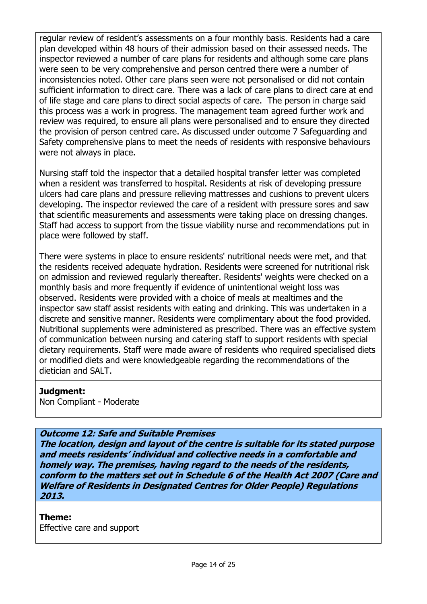regular review of resident's assessments on a four monthly basis. Residents had a care plan developed within 48 hours of their admission based on their assessed needs. The inspector reviewed a number of care plans for residents and although some care plans were seen to be very comprehensive and person centred there were a number of inconsistencies noted. Other care plans seen were not personalised or did not contain sufficient information to direct care. There was a lack of care plans to direct care at end of life stage and care plans to direct social aspects of care. The person in charge said this process was a work in progress. The management team agreed further work and review was required, to ensure all plans were personalised and to ensure they directed the provision of person centred care. As discussed under outcome 7 Safeguarding and Safety comprehensive plans to meet the needs of residents with responsive behaviours were not always in place.

Nursing staff told the inspector that a detailed hospital transfer letter was completed when a resident was transferred to hospital. Residents at risk of developing pressure ulcers had care plans and pressure relieving mattresses and cushions to prevent ulcers developing. The inspector reviewed the care of a resident with pressure sores and saw that scientific measurements and assessments were taking place on dressing changes. Staff had access to support from the tissue viability nurse and recommendations put in place were followed by staff.

There were systems in place to ensure residents' nutritional needs were met, and that the residents received adequate hydration. Residents were screened for nutritional risk on admission and reviewed regularly thereafter. Residents' weights were checked on a monthly basis and more frequently if evidence of unintentional weight loss was observed. Residents were provided with a choice of meals at mealtimes and the inspector saw staff assist residents with eating and drinking. This was undertaken in a discrete and sensitive manner. Residents were complimentary about the food provided. Nutritional supplements were administered as prescribed. There was an effective system of communication between nursing and catering staff to support residents with special dietary requirements. Staff were made aware of residents who required specialised diets or modified diets and were knowledgeable regarding the recommendations of the dietician and SALT.

#### **Judgment:**

Non Compliant - Moderate

#### **Outcome 12: Safe and Suitable Premises**

**The location, design and layout of the centre is suitable for its stated purpose and meets residents' individual and collective needs in a comfortable and homely way. The premises, having regard to the needs of the residents, conform to the matters set out in Schedule 6 of the Health Act 2007 (Care and Welfare of Residents in Designated Centres for Older People) Regulations 2013.**

#### **Theme:**

Effective care and support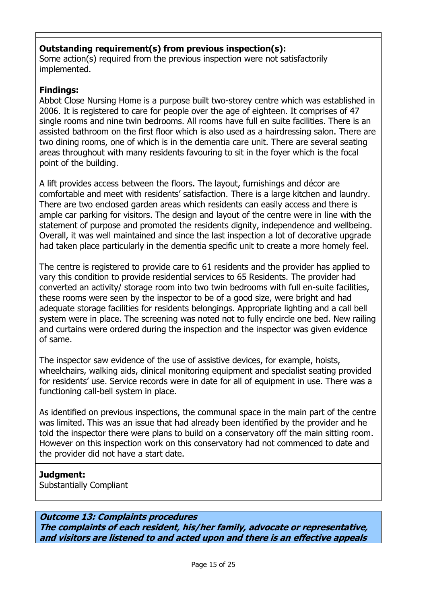# **Outstanding requirement(s) from previous inspection(s):**

Some action(s) required from the previous inspection were not satisfactorily implemented.

# **Findings:**

Abbot Close Nursing Home is a purpose built two-storey centre which was established in 2006. It is registered to care for people over the age of eighteen. It comprises of 47 single rooms and nine twin bedrooms. All rooms have full en suite facilities. There is an assisted bathroom on the first floor which is also used as a hairdressing salon. There are two dining rooms, one of which is in the dementia care unit. There are several seating areas throughout with many residents favouring to sit in the foyer which is the focal point of the building.

A lift provides access between the floors. The layout, furnishings and décor are comfortable and meet with residents' satisfaction. There is a large kitchen and laundry. There are two enclosed garden areas which residents can easily access and there is ample car parking for visitors. The design and layout of the centre were in line with the statement of purpose and promoted the residents dignity, independence and wellbeing. Overall, it was well maintained and since the last inspection a lot of decorative upgrade had taken place particularly in the dementia specific unit to create a more homely feel.

The centre is registered to provide care to 61 residents and the provider has applied to vary this condition to provide residential services to 65 Residents. The provider had converted an activity/ storage room into two twin bedrooms with full en-suite facilities, these rooms were seen by the inspector to be of a good size, were bright and had adequate storage facilities for residents belongings. Appropriate lighting and a call bell system were in place. The screening was noted not to fully encircle one bed. New railing and curtains were ordered during the inspection and the inspector was given evidence of same.

The inspector saw evidence of the use of assistive devices, for example, hoists, wheelchairs, walking aids, clinical monitoring equipment and specialist seating provided for residents' use. Service records were in date for all of equipment in use. There was a functioning call-bell system in place.

As identified on previous inspections, the communal space in the main part of the centre was limited. This was an issue that had already been identified by the provider and he told the inspector there were plans to build on a conservatory off the main sitting room. However on this inspection work on this conservatory had not commenced to date and the provider did not have a start date.

# **Judgment:**

Substantially Compliant

**Outcome 13: Complaints procedures The complaints of each resident, his/her family, advocate or representative, and visitors are listened to and acted upon and there is an effective appeals**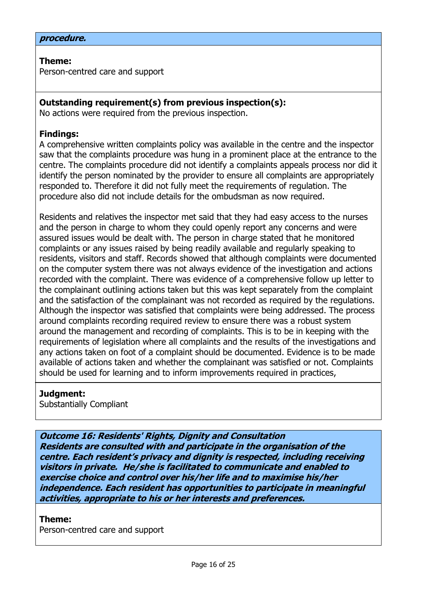#### **procedure.**

**Theme:**  Person-centred care and support

### **Outstanding requirement(s) from previous inspection(s):**

No actions were required from the previous inspection.

#### **Findings:**

A comprehensive written complaints policy was available in the centre and the inspector saw that the complaints procedure was hung in a prominent place at the entrance to the centre. The complaints procedure did not identify a complaints appeals process nor did it identify the person nominated by the provider to ensure all complaints are appropriately responded to. Therefore it did not fully meet the requirements of regulation. The procedure also did not include details for the ombudsman as now required.

Residents and relatives the inspector met said that they had easy access to the nurses and the person in charge to whom they could openly report any concerns and were assured issues would be dealt with. The person in charge stated that he monitored complaints or any issues raised by being readily available and regularly speaking to residents, visitors and staff. Records showed that although complaints were documented on the computer system there was not always evidence of the investigation and actions recorded with the complaint. There was evidence of a comprehensive follow up letter to the complainant outlining actions taken but this was kept separately from the complaint and the satisfaction of the complainant was not recorded as required by the regulations. Although the inspector was satisfied that complaints were being addressed. The process around complaints recording required review to ensure there was a robust system around the management and recording of complaints. This is to be in keeping with the requirements of legislation where all complaints and the results of the investigations and any actions taken on foot of a complaint should be documented. Evidence is to be made available of actions taken and whether the complainant was satisfied or not. Complaints should be used for learning and to inform improvements required in practices,

#### **Judgment:**

Substantially Compliant

**Outcome 16: Residents' Rights, Dignity and Consultation Residents are consulted with and participate in the organisation of the centre. Each resident's privacy and dignity is respected, including receiving visitors in private. He/she is facilitated to communicate and enabled to exercise choice and control over his/her life and to maximise his/her independence. Each resident has opportunities to participate in meaningful activities, appropriate to his or her interests and preferences.**

#### **Theme:**

Person-centred care and support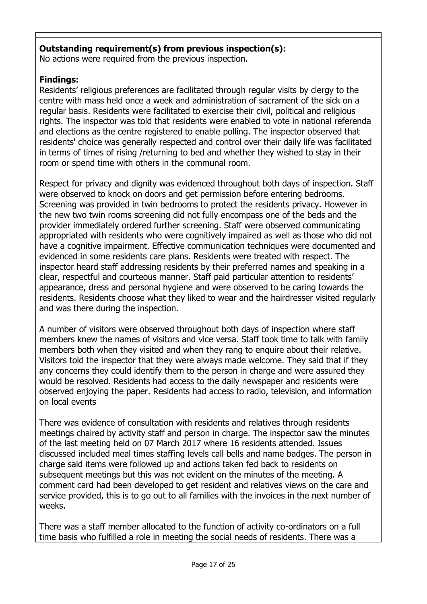# **Outstanding requirement(s) from previous inspection(s):**

No actions were required from the previous inspection.

# **Findings:**

Residents' religious preferences are facilitated through regular visits by clergy to the centre with mass held once a week and administration of sacrament of the sick on a regular basis. Residents were facilitated to exercise their civil, political and religious rights. The inspector was told that residents were enabled to vote in national referenda and elections as the centre registered to enable polling. The inspector observed that residents' choice was generally respected and control over their daily life was facilitated in terms of times of rising /returning to bed and whether they wished to stay in their room or spend time with others in the communal room.

Respect for privacy and dignity was evidenced throughout both days of inspection. Staff were observed to knock on doors and get permission before entering bedrooms. Screening was provided in twin bedrooms to protect the residents privacy. However in the new two twin rooms screening did not fully encompass one of the beds and the provider immediately ordered further screening. Staff were observed communicating appropriated with residents who were cognitively impaired as well as those who did not have a cognitive impairment. Effective communication techniques were documented and evidenced in some residents care plans. Residents were treated with respect. The inspector heard staff addressing residents by their preferred names and speaking in a clear, respectful and courteous manner. Staff paid particular attention to residents' appearance, dress and personal hygiene and were observed to be caring towards the residents. Residents choose what they liked to wear and the hairdresser visited regularly and was there during the inspection.

A number of visitors were observed throughout both days of inspection where staff members knew the names of visitors and vice versa. Staff took time to talk with family members both when they visited and when they rang to enquire about their relative. Visitors told the inspector that they were always made welcome. They said that if they any concerns they could identify them to the person in charge and were assured they would be resolved. Residents had access to the daily newspaper and residents were observed enjoying the paper. Residents had access to radio, television, and information on local events

There was evidence of consultation with residents and relatives through residents meetings chaired by activity staff and person in charge. The inspector saw the minutes of the last meeting held on 07 March 2017 where 16 residents attended. Issues discussed included meal times staffing levels call bells and name badges. The person in charge said items were followed up and actions taken fed back to residents on subsequent meetings but this was not evident on the minutes of the meeting. A comment card had been developed to get resident and relatives views on the care and service provided, this is to go out to all families with the invoices in the next number of weeks.

There was a staff member allocated to the function of activity co-ordinators on a full time basis who fulfilled a role in meeting the social needs of residents. There was a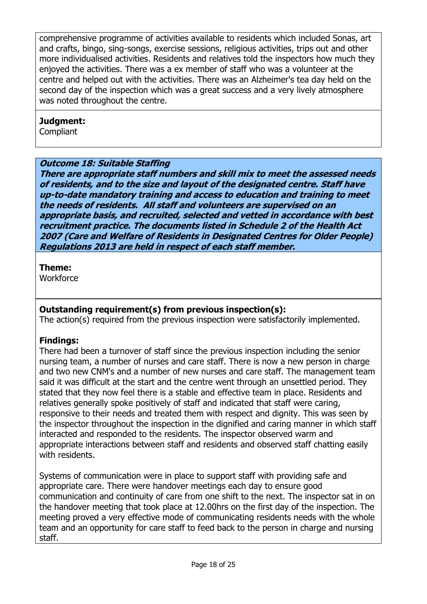comprehensive programme of activities available to residents which included Sonas, art and crafts, bingo, sing-songs, exercise sessions, religious activities, trips out and other more individualised activities. Residents and relatives told the inspectors how much they enjoyed the activities. There was a ex member of staff who was a volunteer at the centre and helped out with the activities. There was an Alzheimer's tea day held on the second day of the inspection which was a great success and a very lively atmosphere was noted throughout the centre.

# **Judgment:**

**Compliant** 

# **Outcome 18: Suitable Staffing**

**There are appropriate staff numbers and skill mix to meet the assessed needs of residents, and to the size and layout of the designated centre. Staff have up-to-date mandatory training and access to education and training to meet the needs of residents. All staff and volunteers are supervised on an appropriate basis, and recruited, selected and vetted in accordance with best recruitment practice. The documents listed in Schedule 2 of the Health Act 2007 (Care and Welfare of Residents in Designated Centres for Older People) Regulations 2013 are held in respect of each staff member.**

# **Theme:**

**Workforce** 

# **Outstanding requirement(s) from previous inspection(s):**

The action(s) required from the previous inspection were satisfactorily implemented.

# **Findings:**

There had been a turnover of staff since the previous inspection including the senior nursing team, a number of nurses and care staff. There is now a new person in charge and two new CNM's and a number of new nurses and care staff. The management team said it was difficult at the start and the centre went through an unsettled period. They stated that they now feel there is a stable and effective team in place. Residents and relatives generally spoke positively of staff and indicated that staff were caring, responsive to their needs and treated them with respect and dignity. This was seen by the inspector throughout the inspection in the dignified and caring manner in which staff interacted and responded to the residents. The inspector observed warm and appropriate interactions between staff and residents and observed staff chatting easily with residents.

Systems of communication were in place to support staff with providing safe and appropriate care. There were handover meetings each day to ensure good communication and continuity of care from one shift to the next. The inspector sat in on the handover meeting that took place at 12.00hrs on the first day of the inspection. The meeting proved a very effective mode of communicating residents needs with the whole team and an opportunity for care staff to feed back to the person in charge and nursing staff.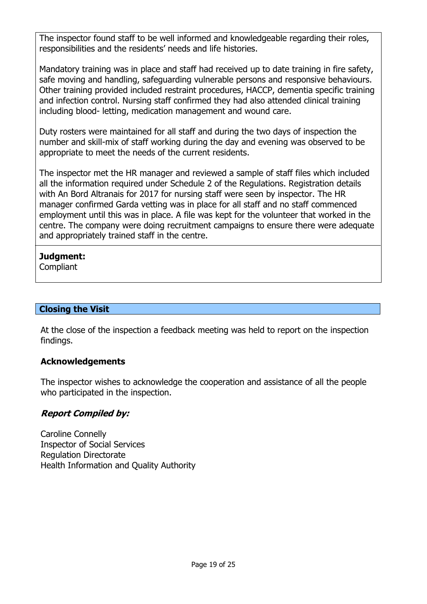The inspector found staff to be well informed and knowledgeable regarding their roles, responsibilities and the residents' needs and life histories.

Mandatory training was in place and staff had received up to date training in fire safety, safe moving and handling, safeguarding vulnerable persons and responsive behaviours. Other training provided included restraint procedures, HACCP, dementia specific training and infection control. Nursing staff confirmed they had also attended clinical training including blood- letting, medication management and wound care.

Duty rosters were maintained for all staff and during the two days of inspection the number and skill-mix of staff working during the day and evening was observed to be appropriate to meet the needs of the current residents.

The inspector met the HR manager and reviewed a sample of staff files which included all the information required under Schedule 2 of the Regulations. Registration details with An Bord Altranais for 2017 for nursing staff were seen by inspector. The HR manager confirmed Garda vetting was in place for all staff and no staff commenced employment until this was in place. A file was kept for the volunteer that worked in the centre. The company were doing recruitment campaigns to ensure there were adequate and appropriately trained staff in the centre.

# **Judgment:**

**Compliant** 

# **Closing the Visit**

At the close of the inspection a feedback meeting was held to report on the inspection findings.

# **Acknowledgements**

The inspector wishes to acknowledge the cooperation and assistance of all the people who participated in the inspection.

# **Report Compiled by:**

Caroline Connelly Inspector of Social Services Regulation Directorate Health Information and Quality Authority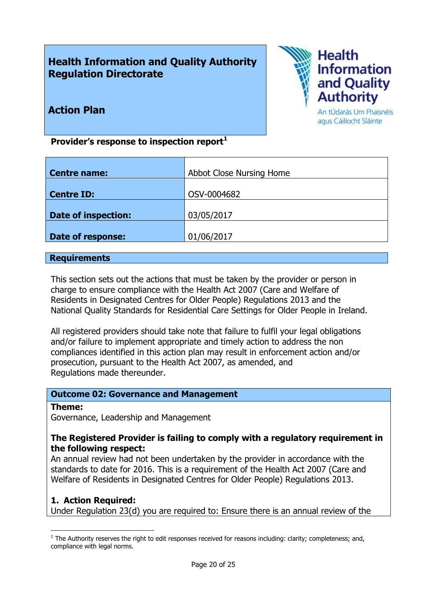# **Health Information and Quality Authority Regulation Directorate**



**Action Plan**

An tÚdarás Um Fhaisnéis agus Cáilíocht Sláinte

**Provider's response to inspection report<sup>1</sup>**

| <b>Centre name:</b>        | Abbot Close Nursing Home |
|----------------------------|--------------------------|
|                            |                          |
| <b>Centre ID:</b>          | OSV-0004682              |
|                            |                          |
| <b>Date of inspection:</b> | 03/05/2017               |
|                            |                          |
| Date of response:          | 01/06/2017               |
|                            |                          |

### **Requirements**

This section sets out the actions that must be taken by the provider or person in charge to ensure compliance with the Health Act 2007 (Care and Welfare of Residents in Designated Centres for Older People) Regulations 2013 and the National Quality Standards for Residential Care Settings for Older People in Ireland.

All registered providers should take note that failure to fulfil your legal obligations and/or failure to implement appropriate and timely action to address the non compliances identified in this action plan may result in enforcement action and/or prosecution, pursuant to the Health Act 2007, as amended, and Regulations made thereunder.

# **Outcome 02: Governance and Management**

#### **Theme:**

 $\overline{a}$ 

Governance, Leadership and Management

# **The Registered Provider is failing to comply with a regulatory requirement in the following respect:**

An annual review had not been undertaken by the provider in accordance with the standards to date for 2016. This is a requirement of the Health Act 2007 (Care and Welfare of Residents in Designated Centres for Older People) Regulations 2013.

# **1. Action Required:**

Under Regulation 23(d) you are required to: Ensure there is an annual review of the

 $<sup>1</sup>$  The Authority reserves the right to edit responses received for reasons including: clarity; completeness; and,</sup> compliance with legal norms.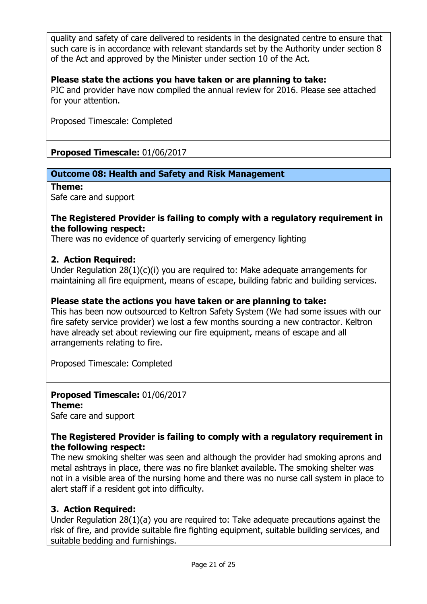quality and safety of care delivered to residents in the designated centre to ensure that such care is in accordance with relevant standards set by the Authority under section 8 of the Act and approved by the Minister under section 10 of the Act.

# **Please state the actions you have taken or are planning to take:**

PIC and provider have now compiled the annual review for 2016. Please see attached for your attention.

Proposed Timescale: Completed

**Proposed Timescale:** 01/06/2017

# **Outcome 08: Health and Safety and Risk Management**

**Theme:** 

Safe care and support

### **The Registered Provider is failing to comply with a regulatory requirement in the following respect:**

There was no evidence of quarterly servicing of emergency lighting

### **2. Action Required:**

Under Regulation 28(1)(c)(i) you are required to: Make adequate arrangements for maintaining all fire equipment, means of escape, building fabric and building services.

### **Please state the actions you have taken or are planning to take:**

This has been now outsourced to Keltron Safety System (We had some issues with our fire safety service provider) we lost a few months sourcing a new contractor. Keltron have already set about reviewing our fire equipment, means of escape and all arrangements relating to fire.

Proposed Timescale: Completed

# **Proposed Timescale:** 01/06/2017

**Theme:** 

Safe care and support

### **The Registered Provider is failing to comply with a regulatory requirement in the following respect:**

The new smoking shelter was seen and although the provider had smoking aprons and metal ashtrays in place, there was no fire blanket available. The smoking shelter was not in a visible area of the nursing home and there was no nurse call system in place to alert staff if a resident got into difficulty.

# **3. Action Required:**

Under Regulation 28(1)(a) you are required to: Take adequate precautions against the risk of fire, and provide suitable fire fighting equipment, suitable building services, and suitable bedding and furnishings.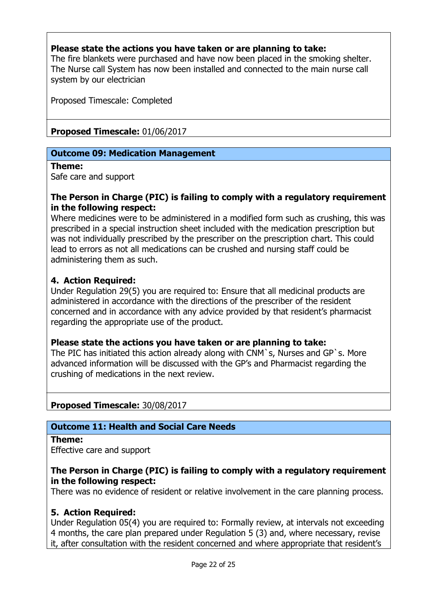# **Please state the actions you have taken or are planning to take:**

The fire blankets were purchased and have now been placed in the smoking shelter. The Nurse call System has now been installed and connected to the main nurse call system by our electrician

Proposed Timescale: Completed

**Proposed Timescale:** 01/06/2017

# **Outcome 09: Medication Management**

#### **Theme:**

Safe care and support

### **The Person in Charge (PIC) is failing to comply with a regulatory requirement in the following respect:**

Where medicines were to be administered in a modified form such as crushing, this was prescribed in a special instruction sheet included with the medication prescription but was not individually prescribed by the prescriber on the prescription chart. This could lead to errors as not all medications can be crushed and nursing staff could be administering them as such.

# **4. Action Required:**

Under Regulation 29(5) you are required to: Ensure that all medicinal products are administered in accordance with the directions of the prescriber of the resident concerned and in accordance with any advice provided by that resident's pharmacist regarding the appropriate use of the product.

# **Please state the actions you have taken or are planning to take:**

The PIC has initiated this action already along with CNM`s, Nurses and GP`s. More advanced information will be discussed with the GP's and Pharmacist regarding the crushing of medications in the next review.

# **Proposed Timescale:** 30/08/2017

# **Outcome 11: Health and Social Care Needs**

#### **Theme:**

Effective care and support

# **The Person in Charge (PIC) is failing to comply with a regulatory requirement in the following respect:**

There was no evidence of resident or relative involvement in the care planning process.

# **5. Action Required:**

Under Regulation 05(4) you are required to: Formally review, at intervals not exceeding 4 months, the care plan prepared under Regulation 5 (3) and, where necessary, revise it, after consultation with the resident concerned and where appropriate that resident's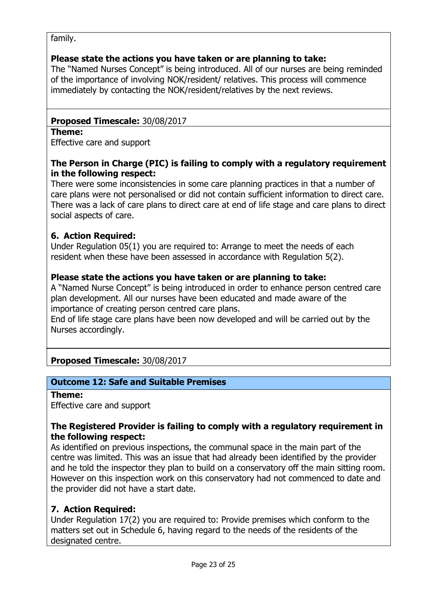### family.

# **Please state the actions you have taken or are planning to take:**

The "Named Nurses Concept" is being introduced. All of our nurses are being reminded of the importance of involving NOK/resident/ relatives. This process will commence immediately by contacting the NOK/resident/relatives by the next reviews.

# **Proposed Timescale:** 30/08/2017

#### **Theme:**

Effective care and support

# **The Person in Charge (PIC) is failing to comply with a regulatory requirement in the following respect:**

There were some inconsistencies in some care planning practices in that a number of care plans were not personalised or did not contain sufficient information to direct care. There was a lack of care plans to direct care at end of life stage and care plans to direct social aspects of care.

# **6. Action Required:**

Under Regulation 05(1) you are required to: Arrange to meet the needs of each resident when these have been assessed in accordance with Regulation 5(2).

### **Please state the actions you have taken or are planning to take:**

A "Named Nurse Concept" is being introduced in order to enhance person centred care plan development. All our nurses have been educated and made aware of the importance of creating person centred care plans.

End of life stage care plans have been now developed and will be carried out by the Nurses accordingly.

# **Proposed Timescale:** 30/08/2017

# **Outcome 12: Safe and Suitable Premises**

#### **Theme:**

Effective care and support

# **The Registered Provider is failing to comply with a regulatory requirement in the following respect:**

As identified on previous inspections, the communal space in the main part of the centre was limited. This was an issue that had already been identified by the provider and he told the inspector they plan to build on a conservatory off the main sitting room. However on this inspection work on this conservatory had not commenced to date and the provider did not have a start date.

# **7. Action Required:**

Under Regulation 17(2) you are required to: Provide premises which conform to the matters set out in Schedule 6, having regard to the needs of the residents of the designated centre.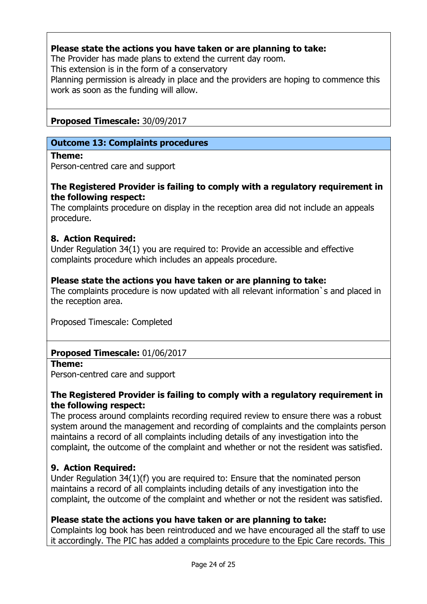# **Please state the actions you have taken or are planning to take:**

The Provider has made plans to extend the current day room.

This extension is in the form of a conservatory

Planning permission is already in place and the providers are hoping to commence this work as soon as the funding will allow.

# **Proposed Timescale:** 30/09/2017

# **Outcome 13: Complaints procedures**

### **Theme:**

Person-centred care and support

# **The Registered Provider is failing to comply with a regulatory requirement in the following respect:**

The complaints procedure on display in the reception area did not include an appeals procedure.

# **8. Action Required:**

Under Regulation 34(1) you are required to: Provide an accessible and effective complaints procedure which includes an appeals procedure.

# **Please state the actions you have taken or are planning to take:**

The complaints procedure is now updated with all relevant information`s and placed in the reception area.

Proposed Timescale: Completed

# **Proposed Timescale:** 01/06/2017

#### **Theme:**

Person-centred care and support

# **The Registered Provider is failing to comply with a regulatory requirement in the following respect:**

The process around complaints recording required review to ensure there was a robust system around the management and recording of complaints and the complaints person maintains a record of all complaints including details of any investigation into the complaint, the outcome of the complaint and whether or not the resident was satisfied.

# **9. Action Required:**

Under Regulation 34(1)(f) you are required to: Ensure that the nominated person maintains a record of all complaints including details of any investigation into the complaint, the outcome of the complaint and whether or not the resident was satisfied.

# **Please state the actions you have taken or are planning to take:**

Complaints log book has been reintroduced and we have encouraged all the staff to use it accordingly. The PIC has added a complaints procedure to the Epic Care records. This